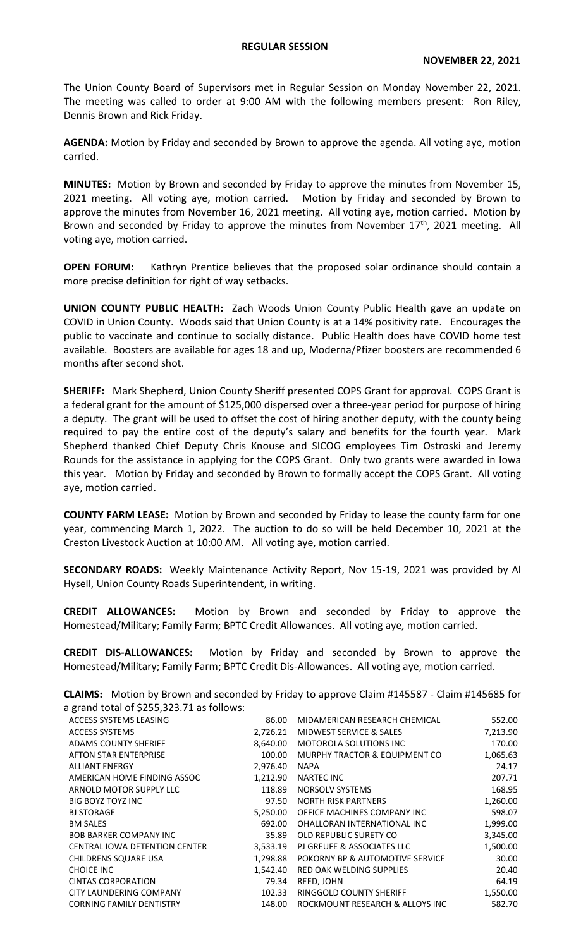The Union County Board of Supervisors met in Regular Session on Monday November 22, 2021. The meeting was called to order at 9:00 AM with the following members present: Ron Riley, Dennis Brown and Rick Friday.

**AGENDA:** Motion by Friday and seconded by Brown to approve the agenda. All voting aye, motion carried.

**MINUTES:** Motion by Brown and seconded by Friday to approve the minutes from November 15, 2021 meeting. All voting aye, motion carried. Motion by Friday and seconded by Brown to approve the minutes from November 16, 2021 meeting. All voting aye, motion carried. Motion by Brown and seconded by Friday to approve the minutes from November 17<sup>th</sup>, 2021 meeting. All voting aye, motion carried.

**OPEN FORUM:** Kathryn Prentice believes that the proposed solar ordinance should contain a more precise definition for right of way setbacks.

**UNION COUNTY PUBLIC HEALTH:** Zach Woods Union County Public Health gave an update on COVID in Union County. Woods said that Union County is at a 14% positivity rate. Encourages the public to vaccinate and continue to socially distance. Public Health does have COVID home test available. Boosters are available for ages 18 and up, Moderna/Pfizer boosters are recommended 6 months after second shot.

**SHERIFF:** Mark Shepherd, Union County Sheriff presented COPS Grant for approval. COPS Grant is a federal grant for the amount of \$125,000 dispersed over a three-year period for purpose of hiring a deputy. The grant will be used to offset the cost of hiring another deputy, with the county being required to pay the entire cost of the deputy's salary and benefits for the fourth year. Mark Shepherd thanked Chief Deputy Chris Knouse and SICOG employees Tim Ostroski and Jeremy Rounds for the assistance in applying for the COPS Grant. Only two grants were awarded in Iowa this year. Motion by Friday and seconded by Brown to formally accept the COPS Grant. All voting aye, motion carried.

**COUNTY FARM LEASE:** Motion by Brown and seconded by Friday to lease the county farm for one year, commencing March 1, 2022. The auction to do so will be held December 10, 2021 at the Creston Livestock Auction at 10:00 AM. All voting aye, motion carried.

**SECONDARY ROADS:** Weekly Maintenance Activity Report, Nov 15-19, 2021 was provided by Al Hysell, Union County Roads Superintendent, in writing.

**CREDIT ALLOWANCES:** Motion by Brown and seconded by Friday to approve the Homestead/Military; Family Farm; BPTC Credit Allowances. All voting aye, motion carried.

**CREDIT DIS-ALLOWANCES:** Motion by Friday and seconded by Brown to approve the Homestead/Military; Family Farm; BPTC Credit Dis-Allowances. All voting aye, motion carried.

**CLAIMS:** Motion by Brown and seconded by Friday to approve Claim #145587 - Claim #145685 for a grand total of \$255,323.71 as follows:

| ACCESS SYSTEMS LEASING               | 86.00    | MIDAMERICAN RESEARCH CHEMICAL   | 552.00   |
|--------------------------------------|----------|---------------------------------|----------|
| <b>ACCESS SYSTEMS</b>                | 2,726.21 | MIDWEST SERVICE & SALES         | 7,213.90 |
| <b>ADAMS COUNTY SHERIFF</b>          | 8,640.00 | <b>MOTOROLA SOLUTIONS INC</b>   | 170.00   |
| AFTON STAR ENTERPRISE                | 100.00   | MURPHY TRACTOR & EQUIPMENT CO   | 1,065.63 |
| <b>ALLIANT ENERGY</b>                | 2,976.40 | <b>NAPA</b>                     | 24.17    |
| AMERICAN HOME FINDING ASSOC          | 1,212.90 | <b>NARTEC INC</b>               | 207.71   |
| ARNOLD MOTOR SUPPLY LLC              | 118.89   | NORSOLV SYSTEMS                 | 168.95   |
| <b>BIG BOYZ TOYZ INC</b>             | 97.50    | <b>NORTH RISK PARTNERS</b>      | 1,260.00 |
| <b>BJ STORAGE</b>                    | 5,250.00 | OFFICE MACHINES COMPANY INC     | 598.07   |
| <b>BM SALES</b>                      | 692.00   | OHALLORAN INTERNATIONAL INC     | 1,999.00 |
| <b>BOB BARKER COMPANY INC.</b>       | 35.89    | OLD REPUBLIC SURETY CO          | 3,345.00 |
| <b>CENTRAL IOWA DETENTION CENTER</b> | 3,533.19 | PJ GREUFE & ASSOCIATES LLC      | 1,500.00 |
| CHILDRENS SQUARE USA                 | 1,298.88 | POKORNY BP & AUTOMOTIVE SERVICE | 30.00    |
| <b>CHOICE INC</b>                    | 1,542.40 | RED OAK WELDING SUPPLIES        | 20.40    |
| <b>CINTAS CORPORATION</b>            | 79.34    | REED, JOHN                      | 64.19    |
| CITY LAUNDERING COMPANY              | 102.33   | RINGGOLD COUNTY SHERIFF         | 1,550.00 |
| <b>CORNING FAMILY DENTISTRY</b>      | 148.00   | ROCKMOUNT RESEARCH & ALLOYS INC | 582.70   |